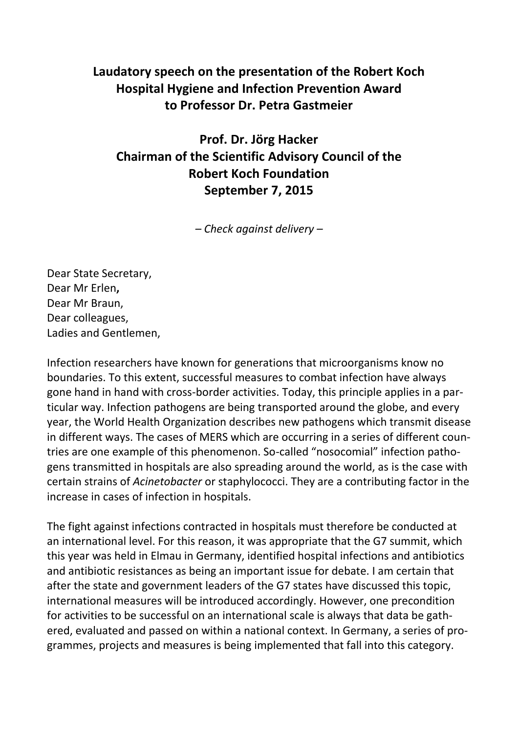## **Laudatory speech on the presentation of the Robert Koch Hospital Hygiene and Infection Prevention Award to Professor Dr. Petra Gastmeier**

## **Prof. Dr. Jörg Hacker Chairman of the Scientific Advisory Council of the Robert Koch Foundation September 7, 2015**

*– Check against delivery –*

Dear State Secretary, Dear Mr Erlen**,** Dear Mr Braun, Dear colleagues, Ladies and Gentlemen,

Infection researchers have known for generations that microorganisms know no boundaries. To this extent, successful measures to combat infection have always gone hand in hand with cross-border activities. Today, this principle applies in a particular way. Infection pathogens are being transported around the globe, and every year, the World Health Organization describes new pathogens which transmit disease in different ways. The cases of MERS which are occurring in a series of different countries are one example of this phenomenon. So-called "nosocomial" infection pathogens transmitted in hospitals are also spreading around the world, as is the case with certain strains of *Acinetobacter* or staphylococci. They are a contributing factor in the increase in cases of infection in hospitals.

The fight against infections contracted in hospitals must therefore be conducted at an international level. For this reason, it was appropriate that the G7 summit, which this year was held in Elmau in Germany, identified hospital infections and antibiotics and antibiotic resistances as being an important issue for debate. I am certain that after the state and government leaders of the G7 states have discussed this topic, international measures will be introduced accordingly. However, one precondition for activities to be successful on an international scale is always that data be gathered, evaluated and passed on within a national context. In Germany, a series of programmes, projects and measures is being implemented that fall into this category.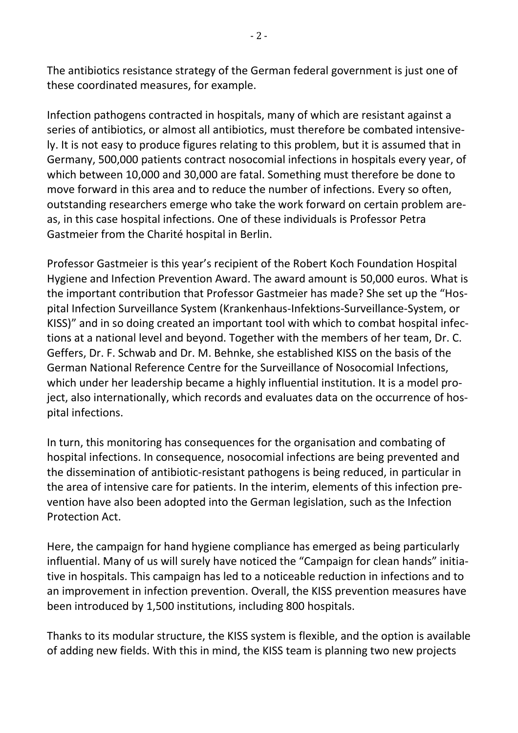The antibiotics resistance strategy of the German federal government is just one of these coordinated measures, for example.

Infection pathogens contracted in hospitals, many of which are resistant against a series of antibiotics, or almost all antibiotics, must therefore be combated intensively. It is not easy to produce figures relating to this problem, but it is assumed that in Germany, 500,000 patients contract nosocomial infections in hospitals every year, of which between 10,000 and 30,000 are fatal. Something must therefore be done to move forward in this area and to reduce the number of infections. Every so often, outstanding researchers emerge who take the work forward on certain problem areas, in this case hospital infections. One of these individuals is Professor Petra Gastmeier from the Charité hospital in Berlin.

Professor Gastmeier is this year's recipient of the Robert Koch Foundation Hospital Hygiene and Infection Prevention Award. The award amount is 50,000 euros. What is the important contribution that Professor Gastmeier has made? She set up the "Hospital Infection Surveillance System (Krankenhaus-Infektions-Surveillance-System, or KISS)" and in so doing created an important tool with which to combat hospital infections at a national level and beyond. Together with the members of her team, Dr. C. Geffers, Dr. F. Schwab and Dr. M. Behnke, she established KISS on the basis of the German National Reference Centre for the Surveillance of Nosocomial Infections, which under her leadership became a highly influential institution. It is a model project, also internationally, which records and evaluates data on the occurrence of hospital infections.

In turn, this monitoring has consequences for the organisation and combating of hospital infections. In consequence, nosocomial infections are being prevented and the dissemination of antibiotic-resistant pathogens is being reduced, in particular in the area of intensive care for patients. In the interim, elements of this infection prevention have also been adopted into the German legislation, such as the Infection Protection Act.

Here, the campaign for hand hygiene compliance has emerged as being particularly influential. Many of us will surely have noticed the "Campaign for clean hands" initiative in hospitals. This campaign has led to a noticeable reduction in infections and to an improvement in infection prevention. Overall, the KISS prevention measures have been introduced by 1,500 institutions, including 800 hospitals.

Thanks to its modular structure, the KISS system is flexible, and the option is available of adding new fields. With this in mind, the KISS team is planning two new projects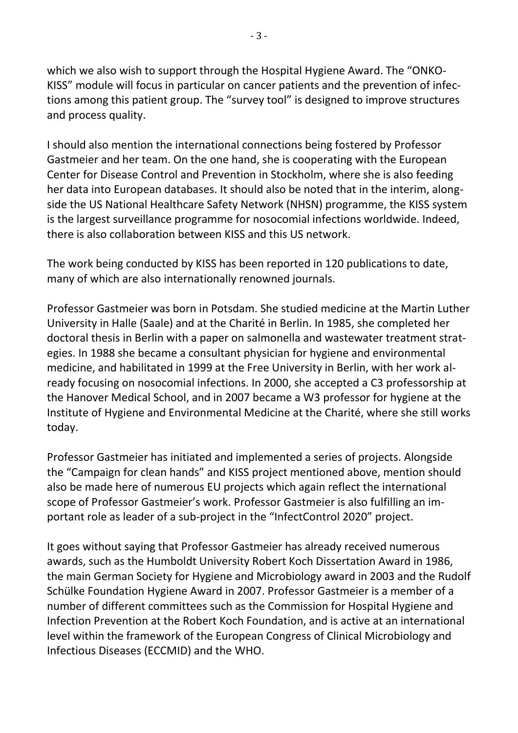which we also wish to support through the Hospital Hygiene Award. The "ONKO-KISS" module will focus in particular on cancer patients and the prevention of infections among this patient group. The "survey tool" is designed to improve structures and process quality.

I should also mention the international connections being fostered by Professor Gastmeier and her team. On the one hand, she is cooperating with the European Center for Disease Control and Prevention in Stockholm, where she is also feeding her data into European databases. It should also be noted that in the interim, alongside the US National Healthcare Safety Network (NHSN) programme, the KISS system is the largest surveillance programme for nosocomial infections worldwide. Indeed, there is also collaboration between KISS and this US network.

The work being conducted by KISS has been reported in 120 publications to date, many of which are also internationally renowned journals.

Professor Gastmeier was born in Potsdam. She studied medicine at the Martin Luther University in Halle (Saale) and at the Charité in Berlin. In 1985, she completed her doctoral thesis in Berlin with a paper on salmonella and wastewater treatment strategies. In 1988 she became a consultant physician for hygiene and environmental medicine, and habilitated in 1999 at the Free University in Berlin, with her work already focusing on nosocomial infections. In 2000, she accepted a C3 professorship at the Hanover Medical School, and in 2007 became a W3 professor for hygiene at the Institute of Hygiene and Environmental Medicine at the Charité, where she still works today.

Professor Gastmeier has initiated and implemented a series of projects. Alongside the "Campaign for clean hands" and KISS project mentioned above, mention should also be made here of numerous EU projects which again reflect the international scope of Professor Gastmeier's work. Professor Gastmeier is also fulfilling an important role as leader of a sub-project in the "InfectControl 2020" project.

It goes without saying that Professor Gastmeier has already received numerous awards, such as the Humboldt University Robert Koch Dissertation Award in 1986, the main German Society for Hygiene and Microbiology award in 2003 and the Rudolf Schülke Foundation Hygiene Award in 2007. Professor Gastmeier is a member of a number of different committees such as the Commission for Hospital Hygiene and Infection Prevention at the Robert Koch Foundation, and is active at an international level within the framework of the European Congress of Clinical Microbiology and Infectious Diseases (ECCMID) and the WHO.